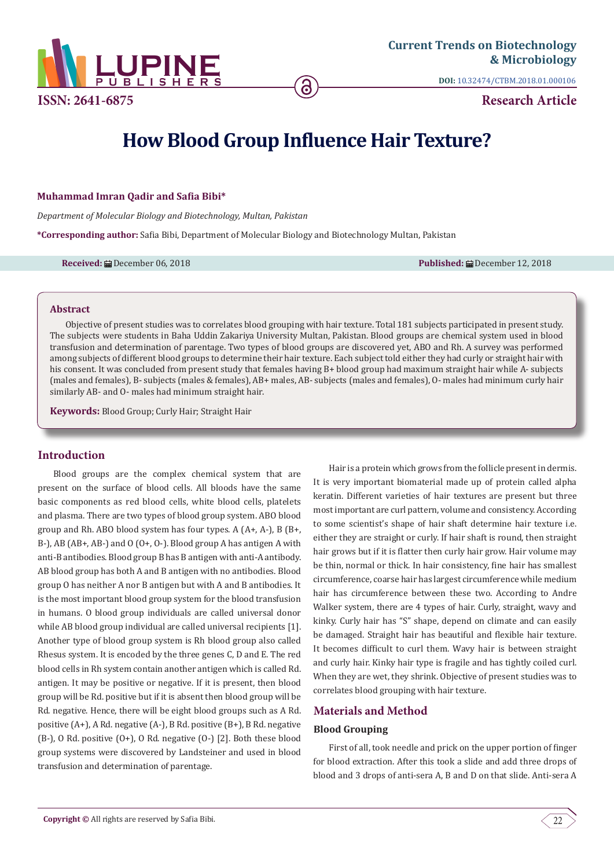

**DOI:** [10.32474/CTBM.2018.01.000106](http://dx.doi.org/10.32474/CTBM.2018.01.000106)

**Research Article**

# **How Blood Group Influence Hair Texture?**

## **Muhammad Imran Qadir and Safia Bibi\***

*Department of Molecular Biology and Biotechnology, Multan, Pakistan*

**\*Corresponding author:** Safia Bibi, Department of Molecular Biology and Biotechnology Multan, Pakistan

**Received:** December 06, 2018 **Published:** December 12, 2018

#### **Abstract**

Objective of present studies was to correlates blood grouping with hair texture. Total 181 subjects participated in present study. The subjects were students in Baha Uddin Zakariya University Multan, Pakistan. Blood groups are chemical system used in blood transfusion and determination of parentage. Two types of blood groups are discovered yet, ABO and Rh. A survey was performed among subjects of different blood groups to determine their hair texture. Each subject told either they had curly or straight hair with his consent. It was concluded from present study that females having B+ blood group had maximum straight hair while A- subjects (males and females), B- subjects (males & females), AB+ males, AB- subjects (males and females), O- males had minimum curly hair similarly AB- and O- males had minimum straight hair.

**Keywords:** Blood Group; Curly Hair; Straight Hair

# **Introduction**

Blood groups are the complex chemical system that are present on the surface of blood cells. All bloods have the same basic components as red blood cells, white blood cells, platelets and plasma. There are two types of blood group system. ABO blood group and Rh. ABO blood system has four types. A (A+, A-), B (B+, B-), AB (AB+, AB-) and O (O+, O-). Blood group A has antigen A with anti-B antibodies. Blood group B has B antigen with anti-A antibody. AB blood group has both A and B antigen with no antibodies. Blood group O has neither A nor B antigen but with A and B antibodies. It is the most important blood group system for the blood transfusion in humans. O blood group individuals are called universal donor while AB blood group individual are called universal recipients [1]. Another type of blood group system is Rh blood group also called Rhesus system. It is encoded by the three genes C, D and E. The red blood cells in Rh system contain another antigen which is called Rd. antigen. It may be positive or negative. If it is present, then blood group will be Rd. positive but if it is absent then blood group will be Rd. negative. Hence, there will be eight blood groups such as A Rd. positive (A+), A Rd. negative (A-), B Rd. positive (B+), B Rd. negative (B-), O Rd. positive (O+), O Rd. negative (O-) [2]. Both these blood group systems were discovered by Landsteiner and used in blood transfusion and determination of parentage.

Hair is a protein which grows from the follicle present in dermis. It is very important biomaterial made up of protein called alpha keratin. Different varieties of hair textures are present but three most important are curl pattern, volume and consistency. According to some scientist's shape of hair shaft determine hair texture i.e. either they are straight or curly. If hair shaft is round, then straight hair grows but if it is flatter then curly hair grow. Hair volume may be thin, normal or thick. In hair consistency, fine hair has smallest circumference, coarse hair has largest circumference while medium hair has circumference between these two. According to Andre Walker system, there are 4 types of hair. Curly, straight, wavy and kinky. Curly hair has "S" shape, depend on climate and can easily be damaged. Straight hair has beautiful and flexible hair texture. It becomes difficult to curl them. Wavy hair is between straight and curly hair. Kinky hair type is fragile and has tightly coiled curl. When they are wet, they shrink. Objective of present studies was to correlates blood grouping with hair texture.

# **Materials and Method**

## **Blood Grouping**

First of all, took needle and prick on the upper portion of finger for blood extraction. After this took a slide and add three drops of blood and 3 drops of anti-sera A, B and D on that slide. Anti-sera A